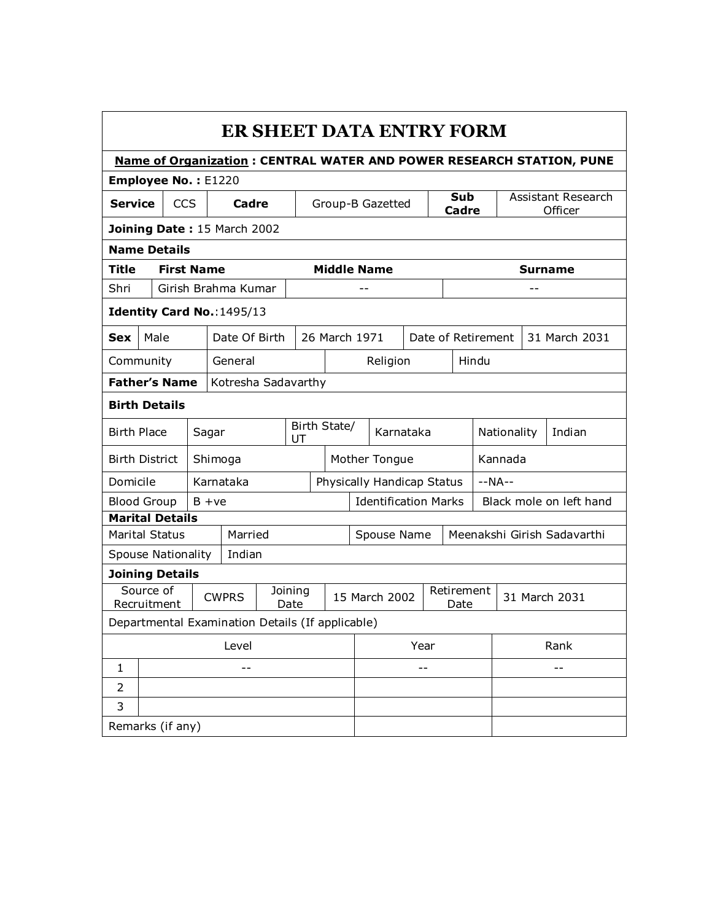| ER SHEET DATA ENTRY FORM                                                    |                       |                   |  |                                                  |                    |                 |                                            |                    |     |               |               |                         |  |        |                |
|-----------------------------------------------------------------------------|-----------------------|-------------------|--|--------------------------------------------------|--------------------|-----------------|--------------------------------------------|--------------------|-----|---------------|---------------|-------------------------|--|--------|----------------|
| <b>Name of Organization: CENTRAL WATER AND POWER RESEARCH STATION, PUNE</b> |                       |                   |  |                                                  |                    |                 |                                            |                    |     |               |               |                         |  |        |                |
| Employee No.: E1220                                                         |                       |                   |  |                                                  |                    |                 |                                            |                    |     |               |               |                         |  |        |                |
| <b>Service</b><br><b>CCS</b>                                                |                       |                   |  | Cadre                                            | Group-B Gazetted   |                 |                                            |                    | Sub |               |               | Assistant Research      |  |        |                |
|                                                                             |                       |                   |  | Joining Date: 15 March 2002                      |                    |                 |                                            |                    |     |               |               | Cadre                   |  |        | Officer        |
|                                                                             |                       |                   |  |                                                  |                    |                 |                                            |                    |     |               |               |                         |  |        |                |
| <b>Name Details</b>                                                         |                       |                   |  |                                                  |                    |                 |                                            |                    |     |               |               |                         |  |        |                |
| Title                                                                       |                       | <b>First Name</b> |  |                                                  |                    |                 | <b>Middle Name</b>                         |                    |     |               |               |                         |  |        | <b>Surname</b> |
| Shri                                                                        |                       |                   |  | Girish Brahma Kumar                              |                    |                 |                                            |                    |     |               |               |                         |  | $-$    |                |
| Identity Card No.: 1495/13                                                  |                       |                   |  |                                                  |                    |                 |                                            |                    |     |               |               |                         |  |        |                |
| <b>Sex</b>                                                                  | Date Of Birth<br>Male |                   |  |                                                  |                    | 26 March 1971   |                                            | Date of Retirement |     |               | 31 March 2031 |                         |  |        |                |
| Community<br>General                                                        |                       |                   |  |                                                  |                    |                 | Religion<br>Hindu                          |                    |     |               |               |                         |  |        |                |
| <b>Father's Name</b>                                                        |                       |                   |  | Kotresha Sadavarthy                              |                    |                 |                                            |                    |     |               |               |                         |  |        |                |
| <b>Birth Details</b>                                                        |                       |                   |  |                                                  |                    |                 |                                            |                    |     |               |               |                         |  |        |                |
| <b>Birth Place</b><br>Sagar                                                 |                       |                   |  |                                                  | Birth State/<br>UT |                 |                                            | Karnataka          |     |               |               | Nationality             |  | Indian |                |
| <b>Birth District</b><br>Shimoga                                            |                       |                   |  |                                                  |                    | Mother Tongue   |                                            |                    |     |               | Kannada       |                         |  |        |                |
| Domicile                                                                    |                       |                   |  | Karnataka                                        |                    |                 | Physically Handicap Status                 |                    |     |               |               | $-NA-$                  |  |        |                |
| <b>Blood Group</b>                                                          |                       |                   |  | $B + ve$                                         |                    |                 | <b>Identification Marks</b>                |                    |     |               |               | Black mole on left hand |  |        |                |
| <b>Marital Details</b>                                                      |                       |                   |  |                                                  |                    |                 |                                            |                    |     |               |               |                         |  |        |                |
| <b>Marital Status</b>                                                       |                       |                   |  | Married                                          |                    |                 | Meenakshi Girish Sadavarthi<br>Spouse Name |                    |     |               |               |                         |  |        |                |
| <b>Spouse Nationality</b>                                                   |                       |                   |  | Indian                                           |                    |                 |                                            |                    |     |               |               |                         |  |        |                |
| <b>Joining Details</b>                                                      |                       |                   |  |                                                  |                    |                 |                                            |                    |     |               |               |                         |  |        |                |
| Recruitment                                                                 | Source of             |                   |  | <b>CWPRS</b>                                     |                    | Joining<br>Date | Retirement<br>15 March 2002<br>Date        |                    |     | 31 March 2031 |               |                         |  |        |                |
|                                                                             |                       |                   |  | Departmental Examination Details (If applicable) |                    |                 |                                            |                    |     |               |               |                         |  |        |                |
| Level                                                                       |                       |                   |  |                                                  |                    |                 |                                            | Year               |     |               | Rank          |                         |  |        |                |
| $\mathbf{1}$                                                                |                       |                   |  | --                                               |                    |                 |                                            |                    | --  |               |               | $-$                     |  |        |                |
| $\overline{2}$                                                              |                       |                   |  |                                                  |                    |                 |                                            |                    |     |               |               |                         |  |        |                |
| 3                                                                           |                       |                   |  |                                                  |                    |                 |                                            |                    |     |               |               |                         |  |        |                |
| Remarks (if any)                                                            |                       |                   |  |                                                  |                    |                 |                                            |                    |     |               |               |                         |  |        |                |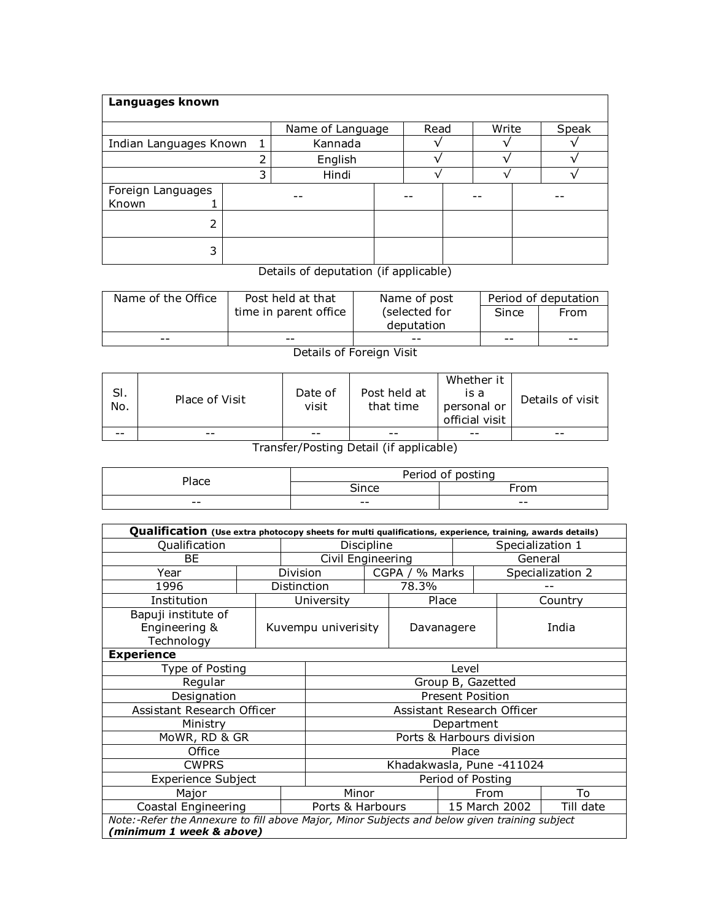| Languages known            |                  |         |      |  |       |  |       |  |
|----------------------------|------------------|---------|------|--|-------|--|-------|--|
|                            | Name of Language |         | Read |  | Write |  | Speak |  |
| Indian Languages Known     | $\mathbf{1}$     | Kannada |      |  |       |  |       |  |
|                            |                  | English |      |  |       |  |       |  |
|                            | 3                | Hindi   |      |  |       |  |       |  |
| Foreign Languages<br>Known |                  |         |      |  |       |  |       |  |
| っ                          |                  |         |      |  |       |  |       |  |
| 3                          |                  |         |      |  |       |  |       |  |

Details of deputation (if applicable)

|    | time in parent office |               |       |      |
|----|-----------------------|---------------|-------|------|
|    |                       | (selected for | Since | From |
|    |                       | deputation    |       |      |
| -- | --                    | --            | --    | --   |

Details of Foreign Visit

| SI.<br>No. | Place of Visit | Date of<br>visit | Post held at<br>that time | Whether it<br>is a<br>personal or<br>official visit | Details of visit |
|------------|----------------|------------------|---------------------------|-----------------------------------------------------|------------------|
| $- -$      | --             | $- -$            | --                        | --                                                  | --               |

Transfer/Posting Detail (if applicable)

| Place | Period of posting |       |  |  |  |  |
|-------|-------------------|-------|--|--|--|--|
|       | Since             | Trom  |  |  |  |  |
| $- -$ | $- -$             | $- -$ |  |  |  |  |

| Qualification (Use extra photocopy sheets for multi qualifications, experience, training, awards details)                 |       |                         |                            |                  |                |                   |               |                  |  |  |
|---------------------------------------------------------------------------------------------------------------------------|-------|-------------------------|----------------------------|------------------|----------------|-------------------|---------------|------------------|--|--|
| Qualification                                                                                                             |       | Discipline              |                            |                  |                | Specialization 1  |               |                  |  |  |
| <b>BE</b>                                                                                                                 |       |                         | Civil Engineering          |                  |                |                   | General       |                  |  |  |
| Year                                                                                                                      |       | Division                |                            |                  | CGPA / % Marks |                   |               | Specialization 2 |  |  |
| 1996                                                                                                                      |       | Distinction             |                            |                  | 78.3%          |                   |               |                  |  |  |
| Institution                                                                                                               |       |                         | University                 |                  | Place          |                   |               | Country          |  |  |
| Bapuji institute of<br>Engineering &<br>Technology                                                                        |       | Kuvempu univerisity     |                            |                  | Davanagere     |                   |               | India            |  |  |
| <b>Experience</b>                                                                                                         |       |                         |                            |                  |                |                   |               |                  |  |  |
| Type of Posting                                                                                                           | Level |                         |                            |                  |                |                   |               |                  |  |  |
| Regular                                                                                                                   |       | Group B, Gazetted       |                            |                  |                |                   |               |                  |  |  |
| Designation                                                                                                               |       | <b>Present Position</b> |                            |                  |                |                   |               |                  |  |  |
| Assistant Research Officer                                                                                                |       |                         | Assistant Research Officer |                  |                |                   |               |                  |  |  |
| Ministry                                                                                                                  |       |                         | Department                 |                  |                |                   |               |                  |  |  |
| MoWR, RD & GR                                                                                                             |       |                         | Ports & Harbours division  |                  |                |                   |               |                  |  |  |
| Office                                                                                                                    |       |                         | Place                      |                  |                |                   |               |                  |  |  |
| <b>CWPRS</b>                                                                                                              |       |                         | Khadakwasla, Pune -411024  |                  |                |                   |               |                  |  |  |
| <b>Experience Subject</b>                                                                                                 |       |                         |                            |                  |                | Period of Posting |               |                  |  |  |
| Major                                                                                                                     |       |                         | Minor                      |                  |                | From              | To            |                  |  |  |
| Coastal Engineering                                                                                                       |       |                         |                            | Ports & Harbours |                |                   | 15 March 2002 | Till date        |  |  |
| Note:-Refer the Annexure to fill above Major, Minor Subjects and below given training subject<br>(minimum 1 week & above) |       |                         |                            |                  |                |                   |               |                  |  |  |